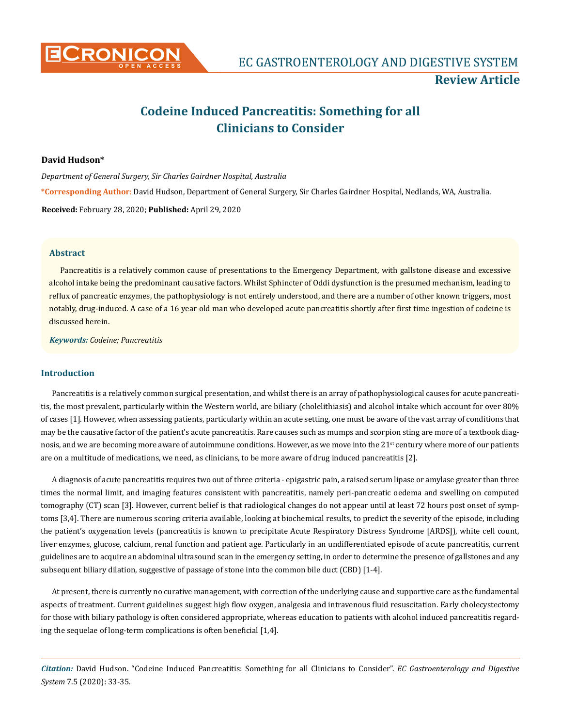

# **Codeine Induced Pancreatitis: Something for all Clinicians to Consider**

### **David Hudson\***

*Department of General Surgery, Sir Charles Gairdner Hospital, Australia* **\*Corresponding Author**: David Hudson, Department of General Surgery, Sir Charles Gairdner Hospital, Nedlands, WA, Australia. **Received:** February 28, 2020; **Published:** April 29, 2020

### **Abstract**

Pancreatitis is a relatively common cause of presentations to the Emergency Department, with gallstone disease and excessive alcohol intake being the predominant causative factors. Whilst Sphincter of Oddi dysfunction is the presumed mechanism, leading to reflux of pancreatic enzymes, the pathophysiology is not entirely understood, and there are a number of other known triggers, most notably, drug-induced. A case of a 16 year old man who developed acute pancreatitis shortly after first time ingestion of codeine is discussed herein.

*Keywords: Codeine; Pancreatitis*

# **Introduction**

Pancreatitis is a relatively common surgical presentation, and whilst there is an array of pathophysiological causes for acute pancreatitis, the most prevalent, particularly within the Western world, are biliary (cholelithiasis) and alcohol intake which account for over 80% of cases [1]. However, when assessing patients, particularly within an acute setting, one must be aware of the vast array of conditions that may be the causative factor of the patient's acute pancreatitis. Rare causes such as mumps and scorpion sting are more of a textbook diagnosis, and we are becoming more aware of autoimmune conditions. However, as we move into the 21<sup>st</sup> century where more of our patients are on a multitude of medications, we need, as clinicians, to be more aware of drug induced pancreatitis [2].

A diagnosis of acute pancreatitis requires two out of three criteria - epigastric pain, a raised serum lipase or amylase greater than three times the normal limit, and imaging features consistent with pancreatitis, namely peri-pancreatic oedema and swelling on computed tomography (CT) scan [3]. However, current belief is that radiological changes do not appear until at least 72 hours post onset of symptoms [3,4]. There are numerous scoring criteria available, looking at biochemical results, to predict the severity of the episode, including the patient's oxygenation levels (pancreatitis is known to precipitate Acute Respiratory Distress Syndrome [ARDS]), white cell count, liver enzymes, glucose, calcium, renal function and patient age. Particularly in an undifferentiated episode of acute pancreatitis, current guidelines are to acquire an abdominal ultrasound scan in the emergency setting, in order to determine the presence of gallstones and any subsequent biliary dilation, suggestive of passage of stone into the common bile duct (CBD) [1-4].

At present, there is currently no curative management, with correction of the underlying cause and supportive care as the fundamental aspects of treatment. Current guidelines suggest high flow oxygen, analgesia and intravenous fluid resuscitation. Early cholecystectomy for those with biliary pathology is often considered appropriate, whereas education to patients with alcohol induced pancreatitis regarding the sequelae of long-term complications is often beneficial [1,4].

*Citation:* David Hudson. "Codeine Induced Pancreatitis: Something for all Clinicians to Consider". *EC Gastroenterology and Digestive System* 7.5 (2020): 33-35.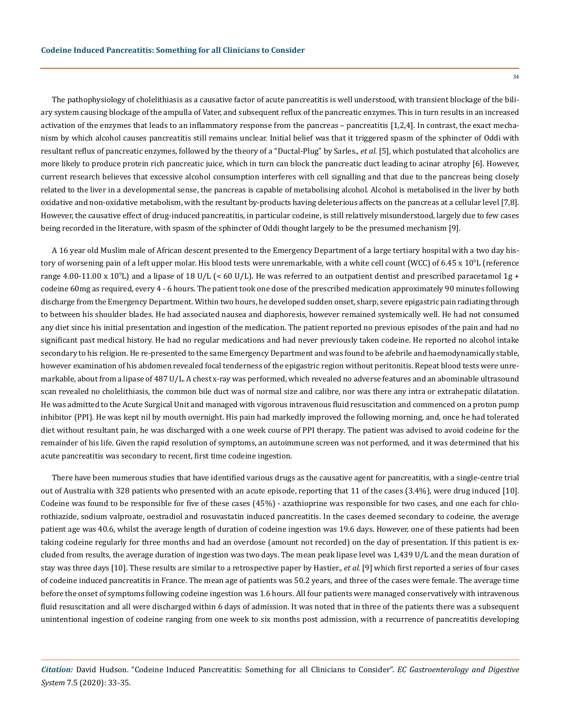The pathophysiology of cholelithiasis as a causative factor of acute pancreatitis is well understood, with transient blockage of the biliary system causing blockage of the ampulla of Vater, and subsequent reflux of the pancreatic enzymes. This in turn results in an increased activation of the enzymes that leads to an inflammatory response from the pancreas – pancreatitis [1,2,4]. In contrast, the exact mechanism by which alcohol causes pancreatitis still remains unclear. Initial belief was that it triggered spasm of the sphincter of Oddi with resultant reflux of pancreatic enzymes, followed by the theory of a "Ductal-Plug" by Sarles., *et al.* [5], which postulated that alcoholics are more likely to produce protein rich pancreatic juice, which in turn can block the pancreatic duct leading to acinar atrophy [6]. However, current research believes that excessive alcohol consumption interferes with cell signalling and that due to the pancreas being closely related to the liver in a developmental sense, the pancreas is capable of metabolising alcohol. Alcohol is metabolised in the liver by both oxidative and non-oxidative metabolism, with the resultant by-products having deleterious affects on the pancreas at a cellular level [7,8]. However, the causative effect of drug-induced pancreatitis, in particular codeine, is still relatively misunderstood, largely due to few cases being recorded in the literature, with spasm of the sphincter of Oddi thought largely to be the presumed mechanism [9].

A 16 year old Muslim male of African descent presented to the Emergency Department of a large tertiary hospital with a two day history of worsening pain of a left upper molar. His blood tests were unremarkable, with a white cell count (WCC) of 6.45 x 10<sup>9</sup> L (reference range 4.00-11.00 x 109 L) and a lipase of 18 U/L (< 60 U/L). He was referred to an outpatient dentist and prescribed paracetamol 1g + codeine 60mg as required, every 4 - 6 hours. The patient took one dose of the prescribed medication approximately 90 minutes following discharge from the Emergency Department. Within two hours, he developed sudden onset, sharp, severe epigastric pain radiating through to between his shoulder blades. He had associated nausea and diaphoresis, however remained systemically well. He had not consumed any diet since his initial presentation and ingestion of the medication. The patient reported no previous episodes of the pain and had no significant past medical history. He had no regular medications and had never previously taken codeine. He reported no alcohol intake secondary to his religion. He re-presented to the same Emergency Department and was found to be afebrile and haemodynamically stable, however examination of his abdomen revealed focal tenderness of the epigastric region without peritonitis. Repeat blood tests were unremarkable, about from a lipase of 487 U/L. A chest x-ray was performed, which revealed no adverse features and an abominable ultrasound scan revealed no cholelithiasis, the common bile duct was of normal size and calibre, nor was there any intra or extrahepatic dilatation. He was admitted to the Acute Surgical Unit and managed with vigorous intravenous fluid resuscitation and commenced on a proton pump inhibitor (PPI). He was kept nil by mouth overnight. His pain had markedly improved the following morning, and, once he had tolerated diet without resultant pain, he was discharged with a one week course of PPI therapy. The patient was advised to avoid codeine for the remainder of his life. Given the rapid resolution of symptoms, an autoimmune screen was not performed, and it was determined that his acute pancreatitis was secondary to recent, first time codeine ingestion.

There have been numerous studies that have identified various drugs as the causative agent for pancreatitis, with a single-centre trial out of Australia with 328 patients who presented with an acute episode, reporting that 11 of the cases (3.4%), were drug induced [10]. Codeine was found to be responsible for five of these cases (45%) - azathioprine was responsible for two cases, and one each for chlorothiazide, sodium valproate, oestradiol and rosuvastatin induced pancreatitis. In the cases deemed secondary to codeine, the average patient age was 40.6, whilst the average length of duration of codeine ingestion was 19.6 days. However, one of these patients had been taking codeine regularly for three months and had an overdose (amount not recorded) on the day of presentation. If this patient is excluded from results, the average duration of ingestion was two days. The mean peak lipase level was 1,439 U/L and the mean duration of stay was three days [10]. These results are similar to a retrospective paper by Hastier., *et al.* [9] which first reported a series of four cases of codeine induced pancreatitis in France. The mean age of patients was 50.2 years, and three of the cases were female. The average time before the onset of symptoms following codeine ingestion was 1.6 hours. All four patients were managed conservatively with intravenous fluid resuscitation and all were discharged within 6 days of admission. It was noted that in three of the patients there was a subsequent unintentional ingestion of codeine ranging from one week to six months post admission, with a recurrence of pancreatitis developing

*Citation:* David Hudson. "Codeine Induced Pancreatitis: Something for all Clinicians to Consider". *EC Gastroenterology and Digestive System* 7.5 (2020): 33-35.